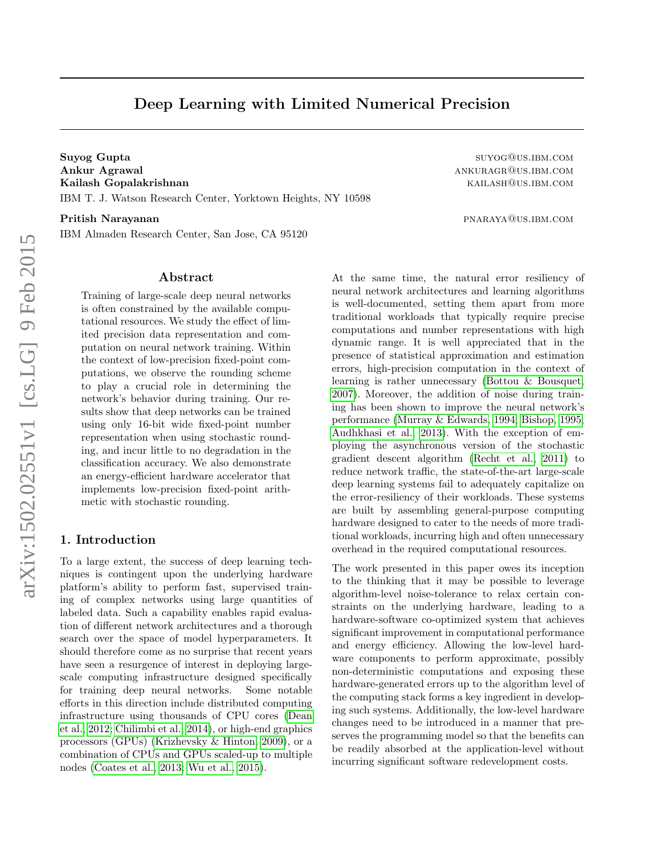# Deep Learning with Limited Numerical Precision

Suyog Gupta suyog@us.ibm.com Ankur Agrawal ankuragrama ankuragrama ankuragrama ankuragrama ankuragrama ankuragrama ankuragrama ankuragrama a Kailash Gopalakrishnan kailash@us.ibm.com IBM T. J. Watson Research Center, Yorktown Heights, NY 10598

Pritish Narayanan pritish Narayanan pritish Narayanan pritish Narayanan pritish Narayanan pritish Narayanan pri

IBM Almaden Research Center, San Jose, CA 95120

#### Abstract

Training of large-scale deep neural networks is often constrained by the available computational resources. We study the effect of limited precision data representation and computation on neural network training. Within the context of low-precision fixed-point computations, we observe the rounding scheme to play a crucial role in determining the network's behavior during training. Our results show that deep networks can be trained using only 16-bit wide fixed-point number representation when using stochastic rounding, and incur little to no degradation in the classification accuracy. We also demonstrate an energy-efficient hardware accelerator that implements low-precision fixed-point arithmetic with stochastic rounding.

# 1. Introduction

To a large extent, the success of deep learning techniques is contingent upon the underlying hardware platform's ability to perform fast, supervised training of complex networks using large quantities of labeled data. Such a capability enables rapid evaluation of different network architectures and a thorough search over the space of model hyperparameters. It should therefore come as no surprise that recent years have seen a resurgence of interest in deploying largescale computing infrastructure designed specifically for training deep neural networks. Some notable efforts in this direction include distributed computing infrastructure using thousands of CPU cores [\(Dean](#page-9-0) [et al., 2012;](#page-9-0) [Chilimbi et al., 2014\)](#page-8-0), or high-end graphics processors (GPUs) [\(Krizhevsky & Hinton, 2009\)](#page-9-1), or a combination of CPUs and GPUs scaled-up to multiple nodes [\(Coates et al., 2013;](#page-9-2) [Wu et al., 2015\)](#page-9-3).

At the same time, the natural error resiliency of neural network architectures and learning algorithms is well-documented, setting them apart from more traditional workloads that typically require precise computations and number representations with high dynamic range. It is well appreciated that in the presence of statistical approximation and estimation errors, high-precision computation in the context of learning is rather unnecessary [\(Bottou & Bousquet,](#page-8-1) [2007\)](#page-8-1). Moreover, the addition of noise during training has been shown to improve the neural network's performance [\(Murray & Edwards, 1994;](#page-9-4) [Bishop, 1995;](#page-8-2) [Audhkhasi et al., 2013\)](#page-8-3). With the exception of employing the asynchronous version of the stochastic gradient descent algorithm [\(Recht et al., 2011\)](#page-9-5) to reduce network traffic, the state-of-the-art large-scale deep learning systems fail to adequately capitalize on the error-resiliency of their workloads. These systems are built by assembling general-purpose computing hardware designed to cater to the needs of more traditional workloads, incurring high and often unnecessary overhead in the required computational resources.

The work presented in this paper owes its inception to the thinking that it may be possible to leverage algorithm-level noise-tolerance to relax certain constraints on the underlying hardware, leading to a hardware-software co-optimized system that achieves significant improvement in computational performance and energy efficiency. Allowing the low-level hardware components to perform approximate, possibly non-deterministic computations and exposing these hardware-generated errors up to the algorithm level of the computing stack forms a key ingredient in developing such systems. Additionally, the low-level hardware changes need to be introduced in a manner that preserves the programming model so that the benefits can be readily absorbed at the application-level without incurring significant software redevelopment costs.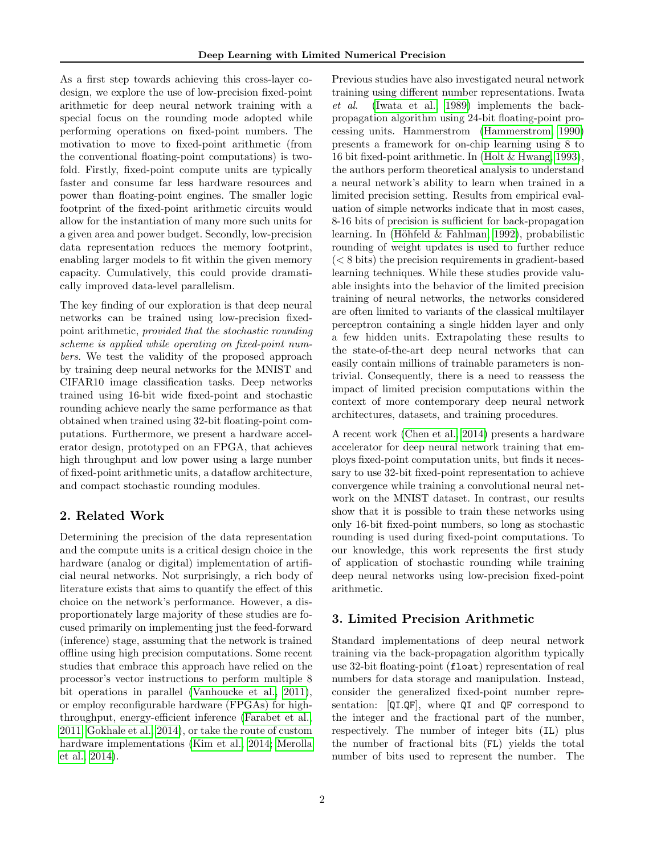As a first step towards achieving this cross-layer codesign, we explore the use of low-precision fixed-point arithmetic for deep neural network training with a special focus on the rounding mode adopted while performing operations on fixed-point numbers. The motivation to move to fixed-point arithmetic (from the conventional floating-point computations) is twofold. Firstly, fixed-point compute units are typically faster and consume far less hardware resources and power than floating-point engines. The smaller logic footprint of the fixed-point arithmetic circuits would allow for the instantiation of many more such units for a given area and power budget. Secondly, low-precision data representation reduces the memory footprint, enabling larger models to fit within the given memory capacity. Cumulatively, this could provide dramatically improved data-level parallelism.

The key finding of our exploration is that deep neural networks can be trained using low-precision fixedpoint arithmetic, provided that the stochastic rounding scheme is applied while operating on fixed-point numbers. We test the validity of the proposed approach by training deep neural networks for the MNIST and CIFAR10 image classification tasks. Deep networks trained using 16-bit wide fixed-point and stochastic rounding achieve nearly the same performance as that obtained when trained using 32-bit floating-point computations. Furthermore, we present a hardware accelerator design, prototyped on an FPGA, that achieves high throughput and low power using a large number of fixed-point arithmetic units, a dataflow architecture, and compact stochastic rounding modules.

# 2. Related Work

Determining the precision of the data representation and the compute units is a critical design choice in the hardware (analog or digital) implementation of artificial neural networks. Not surprisingly, a rich body of literature exists that aims to quantify the effect of this choice on the network's performance. However, a disproportionately large majority of these studies are focused primarily on implementing just the feed-forward (inference) stage, assuming that the network is trained offline using high precision computations. Some recent studies that embrace this approach have relied on the processor's vector instructions to perform multiple 8 bit operations in parallel [\(Vanhoucke et al., 2011\)](#page-9-6), or employ reconfigurable hardware (FPGAs) for highthroughput, energy-efficient inference [\(Farabet et al.,](#page-9-7) [2011;](#page-9-7) [Gokhale et al., 2014\)](#page-9-8), or take the route of custom hardware implementations [\(Kim et al., 2014;](#page-9-9) [Merolla](#page-9-10) [et al., 2014\)](#page-9-10).

Previous studies have also investigated neural network training using different number representations. Iwata et al. [\(Iwata et al., 1989\)](#page-9-11) implements the backpropagation algorithm using 24-bit floating-point processing units. Hammerstrom [\(Hammerstrom, 1990\)](#page-9-12) presents a framework for on-chip learning using 8 to 16 bit fixed-point arithmetic. In [\(Holt & Hwang, 1993\)](#page-9-13), the authors perform theoretical analysis to understand a neural network's ability to learn when trained in a limited precision setting. Results from empirical evaluation of simple networks indicate that in most cases, 8-16 bits of precision is sufficient for back-propagation learning. In (Höhfeld  $\&$  Fahlman, 1992), probabilistic rounding of weight updates is used to further reduce (< 8 bits) the precision requirements in gradient-based learning techniques. While these studies provide valuable insights into the behavior of the limited precision training of neural networks, the networks considered are often limited to variants of the classical multilayer perceptron containing a single hidden layer and only a few hidden units. Extrapolating these results to the state-of-the-art deep neural networks that can easily contain millions of trainable parameters is nontrivial. Consequently, there is a need to reassess the impact of limited precision computations within the context of more contemporary deep neural network architectures, datasets, and training procedures.

A recent work [\(Chen et al., 2014\)](#page-8-4) presents a hardware accelerator for deep neural network training that employs fixed-point computation units, but finds it necessary to use 32-bit fixed-point representation to achieve convergence while training a convolutional neural network on the MNIST dataset. In contrast, our results show that it is possible to train these networks using only 16-bit fixed-point numbers, so long as stochastic rounding is used during fixed-point computations. To our knowledge, this work represents the first study of application of stochastic rounding while training deep neural networks using low-precision fixed-point arithmetic.

# 3. Limited Precision Arithmetic

Standard implementations of deep neural network training via the back-propagation algorithm typically use 32-bit floating-point (float) representation of real numbers for data storage and manipulation. Instead, consider the generalized fixed-point number representation: [QI.QF], where QI and QF correspond to the integer and the fractional part of the number, respectively. The number of integer bits (IL) plus the number of fractional bits (FL) yields the total number of bits used to represent the number. The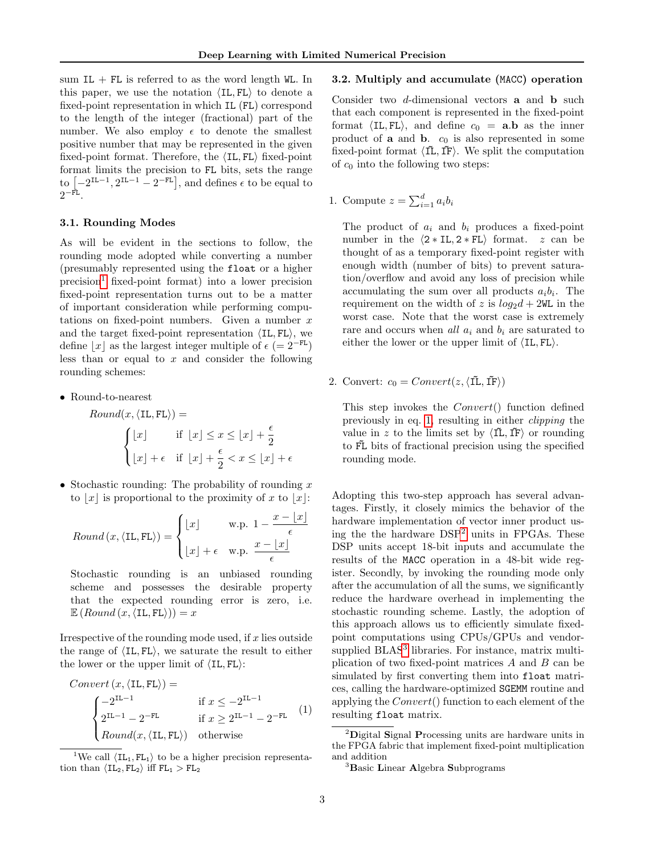sum  $IL + FL$  is referred to as the word length WL. In this paper, we use the notation  $\langle IL, FL \rangle$  to denote a fixed-point representation in which IL (FL) correspond to the length of the integer (fractional) part of the number. We also employ  $\epsilon$  to denote the smallest positive number that may be represented in the given fixed-point format. Therefore, the  $\langle IL, FL \rangle$  fixed-point format limits the precision to FL bits, sets the range to  $[-2^{IL-1}, 2^{IL-1} - 2^{-FL}]$ , and defines  $\epsilon$  to be equal to  $2^{-\texttt{FL}}$ .

# 3.1. Rounding Modes

As will be evident in the sections to follow, the rounding mode adopted while converting a number (presumably represented using the float or a higher  $precision<sup>1</sup>$  $precision<sup>1</sup>$  $precision<sup>1</sup>$  fixed-point format) into a lower precision fixed-point representation turns out to be a matter of important consideration while performing computations on fixed-point numbers. Given a number  $x$ and the target fixed-point representation  $\langle IL, FL \rangle$ , we define |x| as the largest integer multiple of  $\epsilon$  (= 2<sup>−FL</sup>) less than or equal to  $x$  and consider the following rounding schemes:

• Round-to-nearest

*Round*(
$$
x
$$
,  $\langle$ IL, FL $\rangle$ ) =  

$$
\begin{cases} \lfloor x \rfloor & \text{if } \lfloor x \rfloor \leq x \leq \lfloor x \rfloor + \frac{\epsilon}{2} \\ \lfloor x \rfloor + \epsilon & \text{if } \lfloor x \rfloor + \frac{\epsilon}{2} < x \leq \lfloor x \rfloor + \epsilon \end{cases}
$$

• Stochastic rounding: The probability of rounding  $x$ to  $|x|$  is proportional to the proximity of x to  $|x|$ :

$$
Round(x, \langle \text{IL}, \text{FL} \rangle) = \begin{cases} \lfloor x \rfloor & \text{w.p. } 1 - \frac{x - \lfloor x \rfloor}{\epsilon} \\ \lfloor x \rfloor + \epsilon & \text{w.p. } \frac{x - \lfloor x \rfloor}{\epsilon} \end{cases}
$$

Stochastic rounding is an unbiased rounding scheme and possesses the desirable property that the expected rounding error is zero, i.e.  $\mathbb{E}$  (*Round* (*x*,  $\langle$ IL, FL $\rangle$ )) = *x* 

Irrespective of the rounding mode used, if  $x$  lies outside the range of  $\langle IL, FL \rangle$ , we saturate the result to either the lower or the upper limit of  $\langle IL, FL \rangle$ :

<span id="page-2-1"></span>
$$
Convert (x, \langle IL, FL \rangle) =
$$
  
\n
$$
\begin{cases}\n-2^{IL-1} & \text{if } x \le -2^{IL-1} \\
2^{IL-1} - 2^{-FL} & \text{if } x \ge 2^{IL-1} - 2^{-FL} \\
Round(x, \langle IL, FL \rangle) & \text{otherwise}\n\end{cases}
$$
\n(1)

<span id="page-2-0"></span><sup>1</sup>We call  $\langle IL_1, FL_1 \rangle$  to be a higher precision representation than  $\langle IL_2, FL_2 \rangle$  iff  $FL_1 > FL_2$ 

## 3.2. Multiply and accumulate (MACC) operation

Consider two d-dimensional vectors a and b such that each component is represented in the fixed-point format  $\langle IL, FL \rangle$ , and define  $c_0 = \mathbf{a} \cdot \mathbf{b}$  as the inner product of **a** and **b**.  $c_0$  is also represented in some fixed-point format  $\langle I\tilde{\mathbf{L}}, I\tilde{\mathbf{F}}\rangle$ . We split the computation of  $c_0$  into the following two steps:

1. Compute 
$$
z = \sum_{i=1}^{d} a_i b_i
$$

The product of  $a_i$  and  $b_i$  produces a fixed-point number in the  $\langle 2 * IL, 2 * FL \rangle$  format. z can be thought of as a temporary fixed-point register with enough width (number of bits) to prevent saturation/overflow and avoid any loss of precision while accumulating the sum over all products  $a_i b_i$ . The requirement on the width of z is  $log_2 d + 2WL$  in the worst case. Note that the worst case is extremely rare and occurs when all  $a_i$  and  $b_i$  are saturated to either the lower or the upper limit of  $\langle IL, FL \rangle$ .

2. Convert:  $c_0 = Convert(z, \langle \tilde{\Pi}, \tilde{\Pi} \rangle)$ 

This step invokes the Convert() function defined previously in eq. [1,](#page-2-1) resulting in either clipping the value in z to the limits set by  $\langle \tilde{IL}, \tilde{IF} \rangle$  or rounding to FL bits of fractional precision using the specified rounding mode.

Adopting this two-step approach has several advantages. Firstly, it closely mimics the behavior of the hardware implementation of vector inner product using the the hardware DSP[2](#page-2-2) units in FPGAs. These DSP units accept 18-bit inputs and accumulate the results of the MACC operation in a 48-bit wide register. Secondly, by invoking the rounding mode only after the accumulation of all the sums, we significantly reduce the hardware overhead in implementing the stochastic rounding scheme. Lastly, the adoption of this approach allows us to efficiently simulate fixedpoint computations using CPUs/GPUs and vendor-supplied BLAS<sup>[3](#page-2-3)</sup> libraries. For instance, matrix multiplication of two fixed-point matrices A and B can be simulated by first converting them into float matrices, calling the hardware-optimized SGEMM routine and applying the Convert() function to each element of the resulting float matrix.

<span id="page-2-2"></span> ${}^{2}$ Digital Signal Processing units are hardware units in the FPGA fabric that implement fixed-point multiplication and addition

<span id="page-2-3"></span><sup>&</sup>lt;sup>3</sup>Basic Linear Algebra Subprograms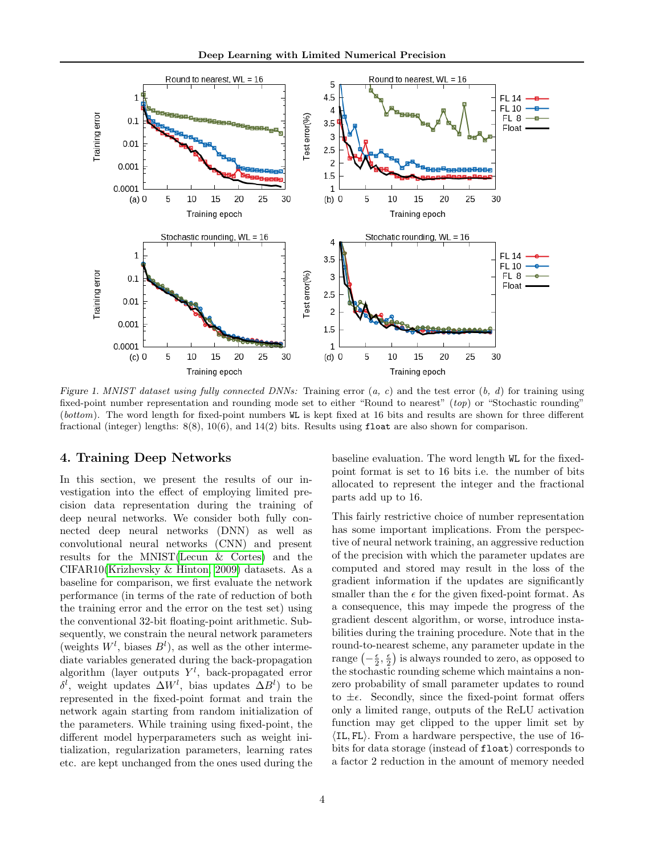

<span id="page-3-0"></span>Figure 1. MNIST dataset using fully connected DNNs: Training error  $(a, c)$  and the test error  $(b, d)$  for training using fixed-point number representation and rounding mode set to either "Round to nearest" (top) or "Stochastic rounding" (bottom). The word length for fixed-point numbers WL is kept fixed at 16 bits and results are shown for three different fractional (integer) lengths: 8(8), 10(6), and 14(2) bits. Results using float are also shown for comparison.

## 4. Training Deep Networks

In this section, we present the results of our investigation into the effect of employing limited precision data representation during the training of deep neural networks. We consider both fully connected deep neural networks (DNN) as well as convolutional neural networks (CNN) and present results for the MNIST[\(Lecun & Cortes\)](#page-9-15) and the CIFAR10[\(Krizhevsky & Hinton, 2009\)](#page-9-1) datasets. As a baseline for comparison, we first evaluate the network performance (in terms of the rate of reduction of both the training error and the error on the test set) using the conventional 32-bit floating-point arithmetic. Subsequently, we constrain the neural network parameters (weights  $W^l$ , biases  $B^l$ ), as well as the other intermediate variables generated during the back-propagation algorithm (layer outputs  $Y^l$ , back-propagated error δ<sup>l</sup>, weight updates  $\Delta W^l$ , bias updates  $\Delta B^l$ ) to be represented in the fixed-point format and train the network again starting from random initialization of the parameters. While training using fixed-point, the different model hyperparameters such as weight initialization, regularization parameters, learning rates etc. are kept unchanged from the ones used during the baseline evaluation. The word length WL for the fixedpoint format is set to 16 bits i.e. the number of bits allocated to represent the integer and the fractional parts add up to 16.

This fairly restrictive choice of number representation has some important implications. From the perspective of neural network training, an aggressive reduction of the precision with which the parameter updates are computed and stored may result in the loss of the gradient information if the updates are significantly smaller than the  $\epsilon$  for the given fixed-point format. As a consequence, this may impede the progress of the gradient descent algorithm, or worse, introduce instabilities during the training procedure. Note that in the round-to-nearest scheme, any parameter update in the range  $\left(-\frac{\epsilon}{2},\frac{\epsilon}{2}\right)$  is always rounded to zero, as opposed to the stochastic rounding scheme which maintains a nonzero probability of small parameter updates to round to  $\pm \epsilon$ . Secondly, since the fixed-point format offers only a limited range, outputs of the ReLU activation function may get clipped to the upper limit set by  $\langle$ IL, FL $\rangle$ . From a hardware perspective, the use of 16bits for data storage (instead of float) corresponds to a factor 2 reduction in the amount of memory needed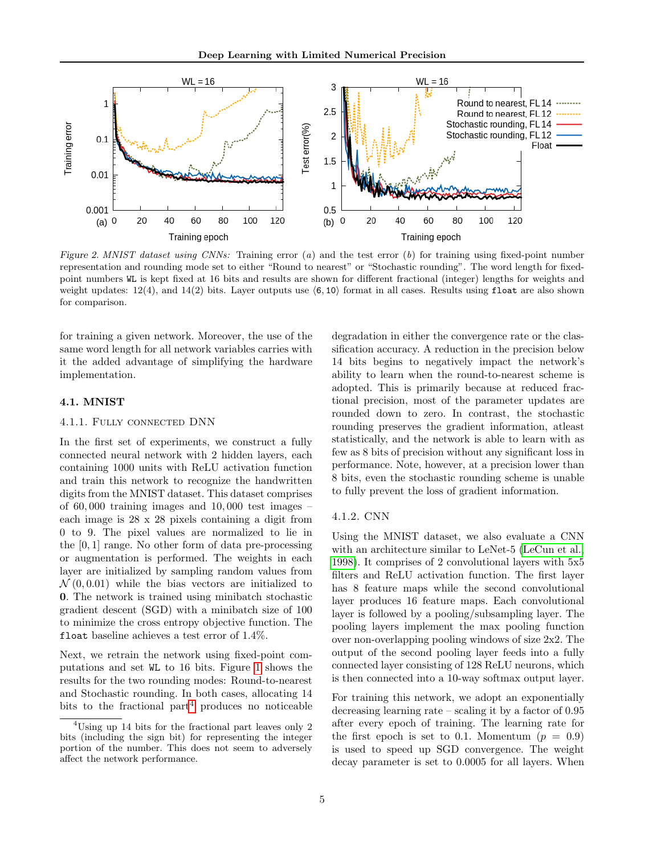

<span id="page-4-1"></span>Figure 2. MNIST dataset using CNNs: Training error  $(a)$  and the test error  $(b)$  for training using fixed-point number representation and rounding mode set to either "Round to nearest" or "Stochastic rounding". The word length for fixedpoint numbers WL is kept fixed at 16 bits and results are shown for different fractional (integer) lengths for weights and weight updates:  $12(4)$ , and  $14(2)$  bits. Layer outputs use  $(6, 10)$  format in all cases. Results using float are also shown for comparison.

for training a given network. Moreover, the use of the same word length for all network variables carries with it the added advantage of simplifying the hardware implementation.

#### 4.1. MNIST

#### 4.1.1. Fully connected DNN

In the first set of experiments, we construct a fully connected neural network with 2 hidden layers, each containing 1000 units with ReLU activation function and train this network to recognize the handwritten digits from the MNIST dataset. This dataset comprises of  $60,000$  training images and  $10,000$  test images – each image is 28 x 28 pixels containing a digit from 0 to 9. The pixel values are normalized to lie in the [0, 1] range. No other form of data pre-processing or augmentation is performed. The weights in each layer are initialized by sampling random values from  $\mathcal{N}(0, 0.01)$  while the bias vectors are initialized to 0. The network is trained using minibatch stochastic gradient descent (SGD) with a minibatch size of 100 to minimize the cross entropy objective function. The float baseline achieves a test error of 1.4%.

Next, we retrain the network using fixed-point computations and set WL to 16 bits. Figure [1](#page-3-0) shows the results for the two rounding modes: Round-to-nearest and Stochastic rounding. In both cases, allocating 14 bits to the fractional part<sup>[4](#page-4-0)</sup> produces no noticeable degradation in either the convergence rate or the classification accuracy. A reduction in the precision below 14 bits begins to negatively impact the network's ability to learn when the round-to-nearest scheme is adopted. This is primarily because at reduced fractional precision, most of the parameter updates are rounded down to zero. In contrast, the stochastic rounding preserves the gradient information, atleast statistically, and the network is able to learn with as few as 8 bits of precision without any significant loss in performance. Note, however, at a precision lower than 8 bits, even the stochastic rounding scheme is unable to fully prevent the loss of gradient information.

# 4.1.2. CNN

Using the MNIST dataset, we also evaluate a CNN with an architecture similar to LeNet-5 [\(LeCun et al.,](#page-9-16) [1998\)](#page-9-16). It comprises of 2 convolutional layers with 5x5 filters and ReLU activation function. The first layer has 8 feature maps while the second convolutional layer produces 16 feature maps. Each convolutional layer is followed by a pooling/subsampling layer. The pooling layers implement the max pooling function over non-overlapping pooling windows of size 2x2. The output of the second pooling layer feeds into a fully connected layer consisting of 128 ReLU neurons, which is then connected into a 10-way softmax output layer.

For training this network, we adopt an exponentially decreasing learning rate – scaling it by a factor of 0.95 after every epoch of training. The learning rate for the first epoch is set to 0.1. Momentum  $(p = 0.9)$ is used to speed up SGD convergence. The weight decay parameter is set to 0.0005 for all layers. When

<span id="page-4-0"></span> $4^4$ Using up 14 bits for the fractional part leaves only 2 bits (including the sign bit) for representing the integer portion of the number. This does not seem to adversely affect the network performance.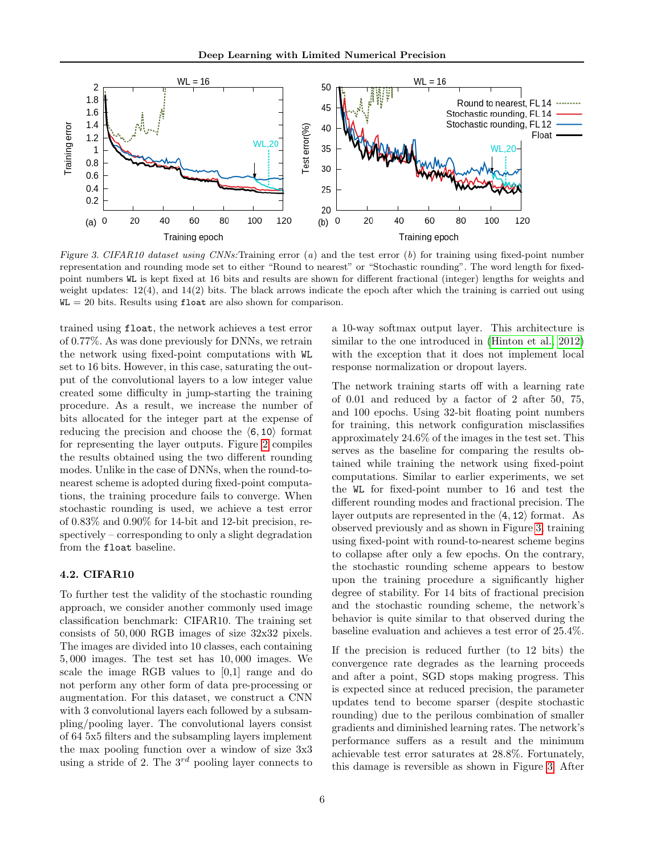

<span id="page-5-0"></span>Figure 3. CIFAR10 dataset using CNNs: Training error  $(a)$  and the test error  $(b)$  for training using fixed-point number representation and rounding mode set to either "Round to nearest" or "Stochastic rounding". The word length for fixedpoint numbers WL is kept fixed at 16 bits and results are shown for different fractional (integer) lengths for weights and weight updates: 12(4), and 14(2) bits. The black arrows indicate the epoch after which the training is carried out using  $WL = 20$  bits. Results using float are also shown for comparison.

trained using float, the network achieves a test error of 0.77%. As was done previously for DNNs, we retrain the network using fixed-point computations with WL set to 16 bits. However, in this case, saturating the output of the convolutional layers to a low integer value created some difficulty in jump-starting the training procedure. As a result, we increase the number of bits allocated for the integer part at the expense of reducing the precision and choose the  $(6, 10)$  format for representing the layer outputs. Figure [2](#page-4-1) compiles the results obtained using the two different rounding modes. Unlike in the case of DNNs, when the round-tonearest scheme is adopted during fixed-point computations, the training procedure fails to converge. When stochastic rounding is used, we achieve a test error of 0.83% and 0.90% for 14-bit and 12-bit precision, respectively – corresponding to only a slight degradation from the float baseline.

## 4.2. CIFAR10

To further test the validity of the stochastic rounding approach, we consider another commonly used image classification benchmark: CIFAR10. The training set consists of 50, 000 RGB images of size 32x32 pixels. The images are divided into 10 classes, each containing 5, 000 images. The test set has 10, 000 images. We scale the image RGB values to [0,1] range and do not perform any other form of data pre-processing or augmentation. For this dataset, we construct a CNN with 3 convolutional layers each followed by a subsampling/pooling layer. The convolutional layers consist of 64 5x5 filters and the subsampling layers implement the max pooling function over a window of size 3x3 using a stride of 2. The  $3^{rd}$  pooling layer connects to a 10-way softmax output layer. This architecture is similar to the one introduced in [\(Hinton et al., 2012\)](#page-9-17) with the exception that it does not implement local response normalization or dropout layers.

The network training starts off with a learning rate of 0.01 and reduced by a factor of 2 after 50, 75, and 100 epochs. Using 32-bit floating point numbers for training, this network configuration misclassifies approximately 24.6% of the images in the test set. This serves as the baseline for comparing the results obtained while training the network using fixed-point computations. Similar to earlier experiments, we set the WL for fixed-point number to 16 and test the different rounding modes and fractional precision. The layer outputs are represented in the  $\langle 4, 12 \rangle$  format. As observed previously and as shown in Figure [3,](#page-5-0) training using fixed-point with round-to-nearest scheme begins to collapse after only a few epochs. On the contrary, the stochastic rounding scheme appears to bestow upon the training procedure a significantly higher degree of stability. For 14 bits of fractional precision and the stochastic rounding scheme, the network's behavior is quite similar to that observed during the baseline evaluation and achieves a test error of 25.4%.

If the precision is reduced further (to 12 bits) the convergence rate degrades as the learning proceeds and after a point, SGD stops making progress. This is expected since at reduced precision, the parameter updates tend to become sparser (despite stochastic rounding) due to the perilous combination of smaller gradients and diminished learning rates. The network's performance suffers as a result and the minimum achievable test error saturates at 28.8%. Fortunately, this damage is reversible as shown in Figure [3.](#page-5-0) After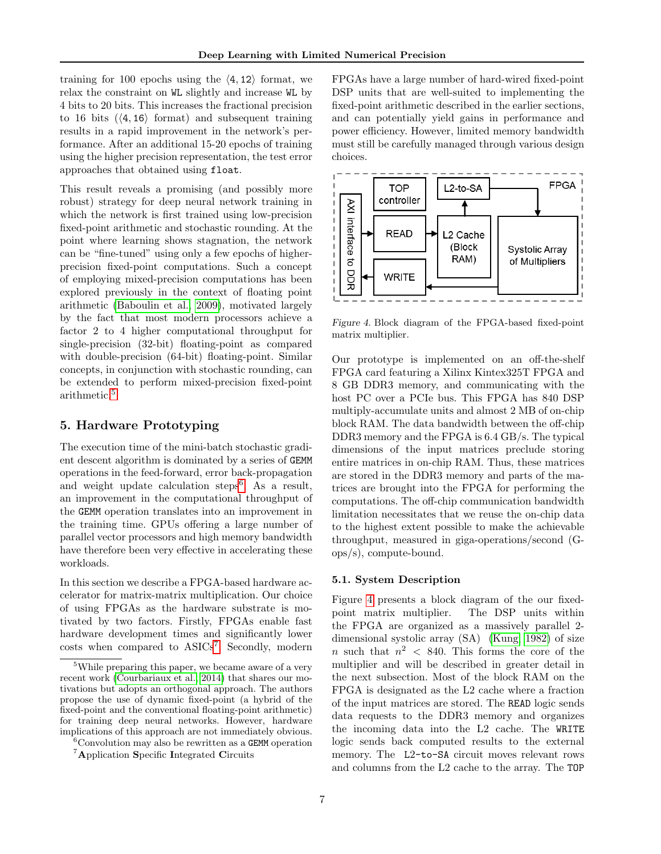training for 100 epochs using the  $\langle 4, 12 \rangle$  format, we relax the constraint on WL slightly and increase WL by 4 bits to 20 bits. This increases the fractional precision to 16 bits  $(\langle 4, 16 \rangle)$  format) and subsequent training results in a rapid improvement in the network's performance. After an additional 15-20 epochs of training using the higher precision representation, the test error approaches that obtained using float.

This result reveals a promising (and possibly more robust) strategy for deep neural network training in which the network is first trained using low-precision fixed-point arithmetic and stochastic rounding. At the point where learning shows stagnation, the network can be "fine-tuned" using only a few epochs of higherprecision fixed-point computations. Such a concept of employing mixed-precision computations has been explored previously in the context of floating point arithmetic [\(Baboulin et al., 2009\)](#page-8-5), motivated largely by the fact that most modern processors achieve a factor 2 to 4 higher computational throughput for single-precision (32-bit) floating-point as compared with double-precision (64-bit) floating-point. Similar concepts, in conjunction with stochastic rounding, can be extended to perform mixed-precision fixed-point arithmetic.[5](#page-6-0)

# 5. Hardware Prototyping

The execution time of the mini-batch stochastic gradient descent algorithm is dominated by a series of GEMM operations in the feed-forward, error back-propagation and weight update calculation steps<sup>[6](#page-6-1)</sup>. As a result, an improvement in the computational throughput of the GEMM operation translates into an improvement in the training time. GPUs offering a large number of parallel vector processors and high memory bandwidth have therefore been very effective in accelerating these workloads.

In this section we describe a FPGA-based hardware accelerator for matrix-matrix multiplication. Our choice of using FPGAs as the hardware substrate is motivated by two factors. Firstly, FPGAs enable fast hardware development times and significantly lower costs when compared to ASICs<sup>[7](#page-6-2)</sup>. Secondly, modern

FPGAs have a large number of hard-wired fixed-point DSP units that are well-suited to implementing the fixed-point arithmetic described in the earlier sections, and can potentially yield gains in performance and power efficiency. However, limited memory bandwidth must still be carefully managed through various design choices.



<span id="page-6-3"></span>Figure 4. Block diagram of the FPGA-based fixed-point matrix multiplier.

Our prototype is implemented on an off-the-shelf FPGA card featuring a Xilinx Kintex325T FPGA and 8 GB DDR3 memory, and communicating with the host PC over a PCIe bus. This FPGA has 840 DSP multiply-accumulate units and almost 2 MB of on-chip block RAM. The data bandwidth between the off-chip DDR3 memory and the FPGA is 6.4 GB/s. The typical dimensions of the input matrices preclude storing entire matrices in on-chip RAM. Thus, these matrices are stored in the DDR3 memory and parts of the matrices are brought into the FPGA for performing the computations. The off-chip communication bandwidth limitation necessitates that we reuse the on-chip data to the highest extent possible to make the achievable throughput, measured in giga-operations/second (Gops/s), compute-bound.

#### 5.1. System Description

Figure [4](#page-6-3) presents a block diagram of the our fixedpoint matrix multiplier. The DSP units within the FPGA are organized as a massively parallel 2 dimensional systolic array (SA) [\(Kung, 1982\)](#page-9-19) of size n such that  $n^2$  < 840. This forms the core of the multiplier and will be described in greater detail in the next subsection. Most of the block RAM on the FPGA is designated as the L2 cache where a fraction of the input matrices are stored. The READ logic sends data requests to the DDR3 memory and organizes the incoming data into the L2 cache. The WRITE logic sends back computed results to the external memory. The L2-to-SA circuit moves relevant rows and columns from the L2 cache to the array. The TOP

<span id="page-6-0"></span><sup>5</sup>While preparing this paper, we became aware of a very recent work [\(Courbariaux et al., 2014\)](#page-9-18) that shares our motivations but adopts an orthogonal approach. The authors propose the use of dynamic fixed-point (a hybrid of the fixed-point and the conventional floating-point arithmetic) for training deep neural networks. However, hardware implications of this approach are not immediately obvious.

<span id="page-6-1"></span> ${}^{6}$ Convolution may also be rewritten as a **GEMM** operation

<span id="page-6-2"></span><sup>7</sup>Application Specific Integrated Circuits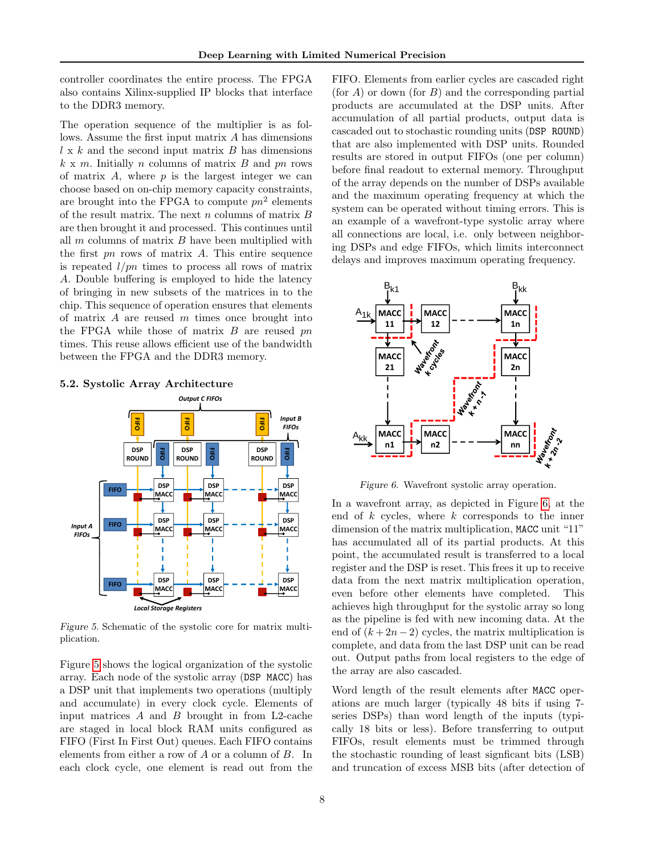controller coordinates the entire process. The FPGA also contains Xilinx-supplied IP blocks that interface to the DDR3 memory.

The operation sequence of the multiplier is as follows. Assume the first input matrix A has dimensions  $l \times k$  and the second input matrix B has dimensions  $k \times m$ . Initially *n* columns of matrix *B* and *pn* rows of matrix  $A$ , where  $p$  is the largest integer we can choose based on on-chip memory capacity constraints, are brought into the FPGA to compute  $pn^2$  elements of the result matrix. The next  $n$  columns of matrix  $B$ are then brought it and processed. This continues until all  $m$  columns of matrix  $B$  have been multiplied with the first  $pn$  rows of matrix  $A$ . This entire sequence is repeated  $l/pn$  times to process all rows of matrix A. Double buffering is employed to hide the latency of bringing in new subsets of the matrices in to the chip. This sequence of operation ensures that elements of matrix  $A$  are reused  $m$  times once brought into the FPGA while those of matrix  $B$  are reused  $pn$ times. This reuse allows efficient use of the bandwidth between the FPGA and the DDR3 memory.

#### 5.2. Systolic Array Architecture



<span id="page-7-0"></span>Figure 5. Schematic of the systolic core for matrix multiplication.

Figure [5](#page-7-0) shows the logical organization of the systolic array. Each node of the systolic array (DSP MACC) has a DSP unit that implements two operations (multiply and accumulate) in every clock cycle. Elements of input matrices  $A$  and  $B$  brought in from L2-cache are staged in local block RAM units configured as FIFO (First In First Out) queues. Each FIFO contains elements from either a row of A or a column of B. In each clock cycle, one element is read out from the

FIFO. Elements from earlier cycles are cascaded right (for A) or down (for B) and the corresponding partial products are accumulated at the DSP units. After accumulation of all partial products, output data is cascaded out to stochastic rounding units (DSP ROUND) that are also implemented with DSP units. Rounded results are stored in output FIFOs (one per column) before final readout to external memory. Throughput of the array depends on the number of DSPs available and the maximum operating frequency at which the system can be operated without timing errors. This is an example of a wavefront-type systolic array where all connections are local, i.e. only between neighboring DSPs and edge FIFOs, which limits interconnect delays and improves maximum operating frequency.



<span id="page-7-1"></span>Figure 6. Wavefront systolic array operation.

In a wavefront array, as depicted in Figure [6,](#page-7-1) at the end of  $k$  cycles, where  $k$  corresponds to the inner dimension of the matrix multiplication, MACC unit "11" has accumulated all of its partial products. At this point, the accumulated result is transferred to a local register and the DSP is reset. This frees it up to receive data from the next matrix multiplication operation, even before other elements have completed. This achieves high throughput for the systolic array so long as the pipeline is fed with new incoming data. At the end of  $(k+2n-2)$  cycles, the matrix multiplication is complete, and data from the last DSP unit can be read out. Output paths from local registers to the edge of the array are also cascaded.

Word length of the result elements after MACC operations are much larger (typically 48 bits if using 7 series DSPs) than word length of the inputs (typically 18 bits or less). Before transferring to output FIFOs, result elements must be trimmed through the stochastic rounding of least signficant bits (LSB) and truncation of excess MSB bits (after detection of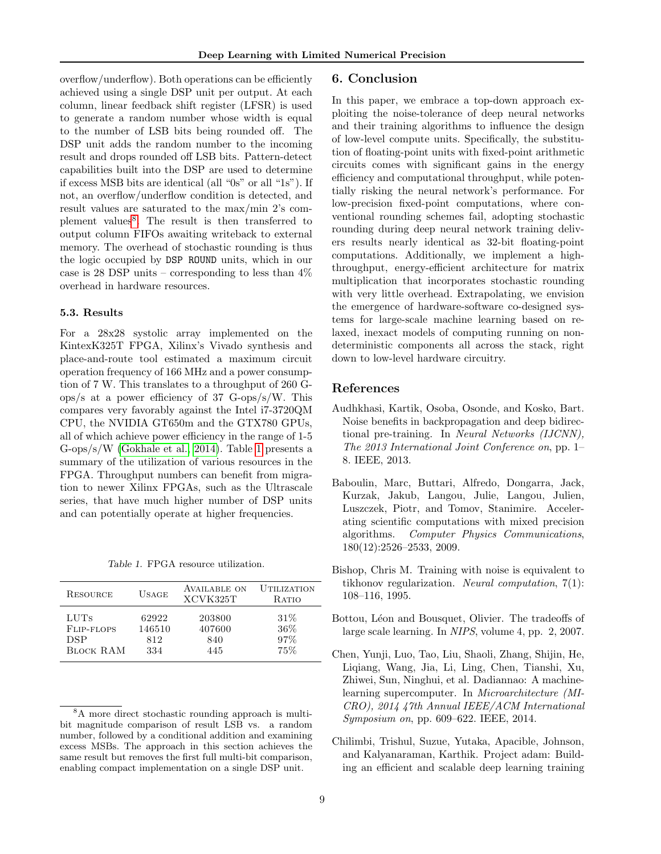overflow/underflow). Both operations can be efficiently achieved using a single DSP unit per output. At each column, linear feedback shift register (LFSR) is used to generate a random number whose width is equal to the number of LSB bits being rounded off. The DSP unit adds the random number to the incoming result and drops rounded off LSB bits. Pattern-detect capabilities built into the DSP are used to determine if excess MSB bits are identical (all "0s" or all "1s"). If not, an overflow/underflow condition is detected, and result values are saturated to the max/min 2's com-plement values<sup>[8](#page-8-6)</sup>. The result is then transferred to output column FIFOs awaiting writeback to external memory. The overhead of stochastic rounding is thus the logic occupied by DSP ROUND units, which in our case is 28 DSP units – corresponding to less than  $4\%$ overhead in hardware resources.

#### 5.3. Results

For a 28x28 systolic array implemented on the KintexK325T FPGA, Xilinx's Vivado synthesis and place-and-route tool estimated a maximum circuit operation frequency of 166 MHz and a power consumption of 7 W. This translates to a throughput of 260 Gops/s at a power efficiency of 37 G-ops/s/W. This compares very favorably against the Intel i7-3720QM CPU, the NVIDIA GT650m and the GTX780 GPUs, all of which achieve power efficiency in the range of 1-5 G-ops/s/W [\(Gokhale et al., 2014\)](#page-9-8). Table [1](#page-8-7) presents a summary of the utilization of various resources in the FPGA. Throughput numbers can benefit from migration to newer Xilinx FPGAs, such as the Ultrascale series, that have much higher number of DSP units and can potentially operate at higher frequencies.

<span id="page-8-7"></span>Table 1. FPGA resource utilization.

| RESOURCE         | $USAGE$ | AVAILABLE ON<br>XCVK325T | <b>UTILIZATION</b><br><b>RATIO</b> |
|------------------|---------|--------------------------|------------------------------------|
| LUTS             | 62922   | 203800                   | 31%                                |
| FLIP-FLOPS       | 146510  | 407600                   | 36%                                |
| DSP              | 812     | 840                      | 97%                                |
| <b>BLOCK RAM</b> | 334     | 445                      | 75%                                |

#### 6. Conclusion

In this paper, we embrace a top-down approach exploiting the noise-tolerance of deep neural networks and their training algorithms to influence the design of low-level compute units. Specifically, the substitution of floating-point units with fixed-point arithmetic circuits comes with significant gains in the energy efficiency and computational throughput, while potentially risking the neural network's performance. For low-precision fixed-point computations, where conventional rounding schemes fail, adopting stochastic rounding during deep neural network training delivers results nearly identical as 32-bit floating-point computations. Additionally, we implement a highthroughput, energy-efficient architecture for matrix multiplication that incorporates stochastic rounding with very little overhead. Extrapolating, we envision the emergence of hardware-software co-designed systems for large-scale machine learning based on relaxed, inexact models of computing running on nondeterministic components all across the stack, right down to low-level hardware circuitry.

# References

- <span id="page-8-3"></span>Audhkhasi, Kartik, Osoba, Osonde, and Kosko, Bart. Noise benefits in backpropagation and deep bidirectional pre-training. In Neural Networks (IJCNN), The 2013 International Joint Conference on, pp. 1– 8. IEEE, 2013.
- <span id="page-8-5"></span>Baboulin, Marc, Buttari, Alfredo, Dongarra, Jack, Kurzak, Jakub, Langou, Julie, Langou, Julien, Luszczek, Piotr, and Tomov, Stanimire. Accelerating scientific computations with mixed precision algorithms. Computer Physics Communications, 180(12):2526–2533, 2009.
- <span id="page-8-2"></span>Bishop, Chris M. Training with noise is equivalent to tikhonov regularization. Neural computation, 7(1): 108–116, 1995.
- <span id="page-8-1"></span>Bottou, Léon and Bousquet, Olivier. The tradeoffs of large scale learning. In NIPS, volume 4, pp. 2, 2007.
- <span id="page-8-4"></span>Chen, Yunji, Luo, Tao, Liu, Shaoli, Zhang, Shijin, He, Liqiang, Wang, Jia, Li, Ling, Chen, Tianshi, Xu, Zhiwei, Sun, Ninghui, et al. Dadiannao: A machinelearning supercomputer. In Microarchitecture (MI-CRO), 2014 47th Annual IEEE/ACM International Symposium on, pp. 609–622. IEEE, 2014.
- <span id="page-8-0"></span>Chilimbi, Trishul, Suzue, Yutaka, Apacible, Johnson, and Kalyanaraman, Karthik. Project adam: Building an efficient and scalable deep learning training

<span id="page-8-6"></span><sup>8</sup>A more direct stochastic rounding approach is multibit magnitude comparison of result LSB vs. a random number, followed by a conditional addition and examining excess MSBs. The approach in this section achieves the same result but removes the first full multi-bit comparison, enabling compact implementation on a single DSP unit.